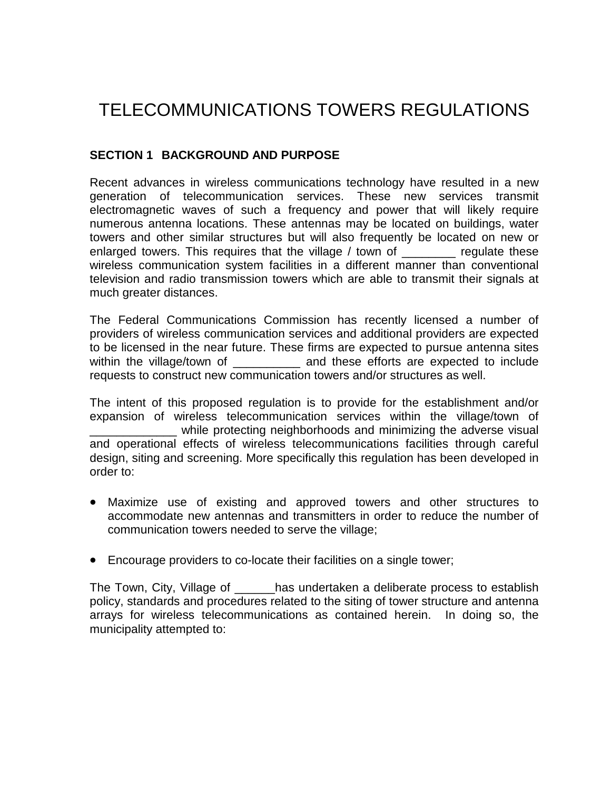# TELECOMMUNICATIONS TOWERS REGULATIONS

# **SECTION 1 BACKGROUND AND PURPOSE**

Recent advances in wireless communications technology have resulted in a new generation of telecommunication services. These new services transmit electromagnetic waves of such a frequency and power that will likely require numerous antenna locations. These antennas may be located on buildings, water towers and other similar structures but will also frequently be located on new or enlarged towers. This requires that the village / town of \_\_\_\_\_\_\_\_ regulate these wireless communication system facilities in a different manner than conventional television and radio transmission towers which are able to transmit their signals at much greater distances.

The Federal Communications Commission has recently licensed a number of providers of wireless communication services and additional providers are expected to be licensed in the near future. These firms are expected to pursue antenna sites within the village/town of \_\_\_\_\_\_\_\_\_\_\_ and these efforts are expected to include requests to construct new communication towers and/or structures as well.

The intent of this proposed regulation is to provide for the establishment and/or expansion of wireless telecommunication services within the village/town of \_\_\_\_\_\_\_\_\_\_\_\_\_ while protecting neighborhoods and minimizing the adverse visual and operational effects of wireless telecommunications facilities through careful design, siting and screening. More specifically this regulation has been developed in order to:

- Maximize use of existing and approved towers and other structures to accommodate new antennas and transmitters in order to reduce the number of communication towers needed to serve the village;
- Encourage providers to co-locate their facilities on a single tower;

The Town, City, Village of \_\_\_\_\_\_has undertaken a deliberate process to establish policy, standards and procedures related to the siting of tower structure and antenna arrays for wireless telecommunications as contained herein. In doing so, the municipality attempted to: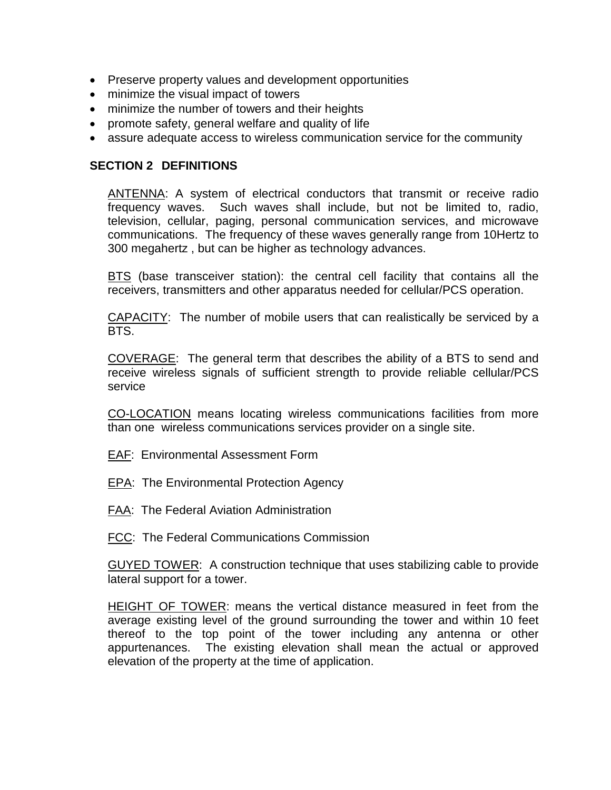- Preserve property values and development opportunities
- minimize the visual impact of towers
- minimize the number of towers and their heights
- promote safety, general welfare and quality of life
- assure adequate access to wireless communication service for the community

#### **SECTION 2 DEFINITIONS**

ANTENNA: A system of electrical conductors that transmit or receive radio frequency waves. Such waves shall include, but not be limited to, radio, television, cellular, paging, personal communication services, and microwave communications. The frequency of these waves generally range from 10Hertz to 300 megahertz , but can be higher as technology advances.

BTS (base transceiver station): the central cell facility that contains all the receivers, transmitters and other apparatus needed for cellular/PCS operation.

CAPACITY: The number of mobile users that can realistically be serviced by a BTS.

COVERAGE: The general term that describes the ability of a BTS to send and receive wireless signals of sufficient strength to provide reliable cellular/PCS service

CO-LOCATION means locating wireless communications facilities from more than one wireless communications services provider on a single site.

- EAF: Environmental Assessment Form
- EPA: The Environmental Protection Agency
- FAA: The Federal Aviation Administration
- FCC: The Federal Communications Commission

GUYED TOWER: A construction technique that uses stabilizing cable to provide lateral support for a tower.

HEIGHT OF TOWER: means the vertical distance measured in feet from the average existing level of the ground surrounding the tower and within 10 feet thereof to the top point of the tower including any antenna or other appurtenances. The existing elevation shall mean the actual or approved elevation of the property at the time of application.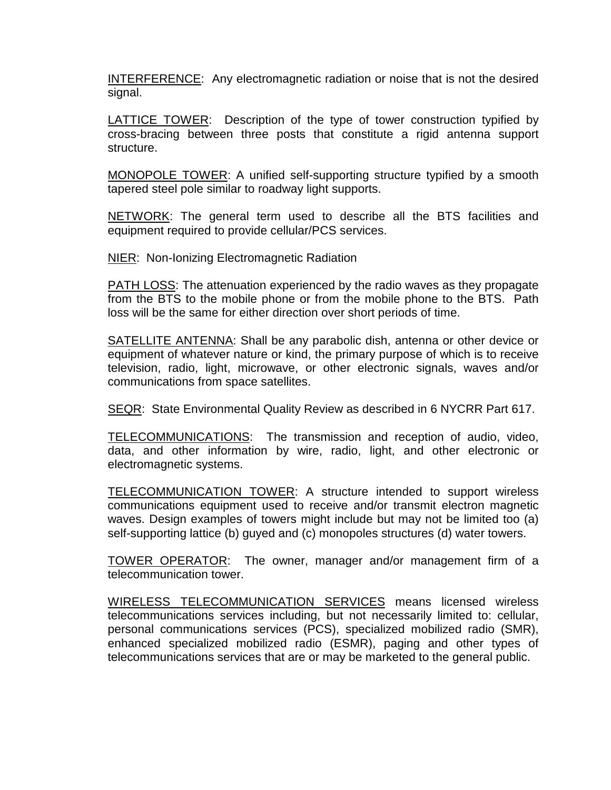INTERFERENCE: Any electromagnetic radiation or noise that is not the desired signal.

LATTICE TOWER: Description of the type of tower construction typified by cross-bracing between three posts that constitute a rigid antenna support structure.

MONOPOLE TOWER: A unified self-supporting structure typified by a smooth tapered steel pole similar to roadway light supports.

NETWORK: The general term used to describe all the BTS facilities and equipment required to provide cellular/PCS services.

**NIER: Non-Ionizing Electromagnetic Radiation** 

PATH LOSS: The attenuation experienced by the radio waves as they propagate from the BTS to the mobile phone or from the mobile phone to the BTS. Path loss will be the same for either direction over short periods of time.

SATELLITE ANTENNA: Shall be any parabolic dish, antenna or other device or equipment of whatever nature or kind, the primary purpose of which is to receive television, radio, light, microwave, or other electronic signals, waves and/or communications from space satellites.

SEQR: State Environmental Quality Review as described in 6 NYCRR Part 617.

TELECOMMUNICATIONS: The transmission and reception of audio, video, data, and other information by wire, radio, light, and other electronic or electromagnetic systems.

TELECOMMUNICATION TOWER: A structure intended to support wireless communications equipment used to receive and/or transmit electron magnetic waves. Design examples of towers might include but may not be limited too (a) self-supporting lattice (b) guyed and (c) monopoles structures (d) water towers.

TOWER OPERATOR: The owner, manager and/or management firm of a telecommunication tower.

WIRELESS TELECOMMUNICATION SERVICES means licensed wireless telecommunications services including, but not necessarily limited to: cellular, personal communications services (PCS), specialized mobilized radio (SMR), enhanced specialized mobilized radio (ESMR), paging and other types of telecommunications services that are or may be marketed to the general public.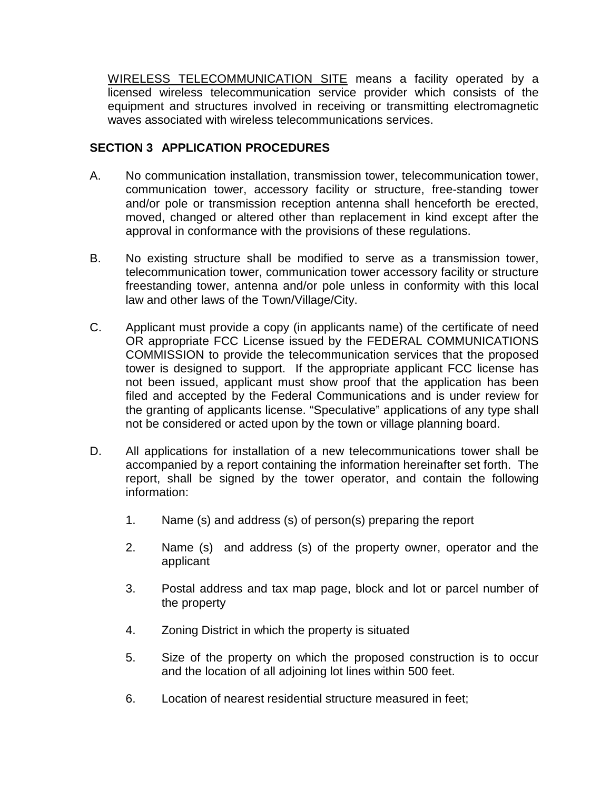WIRELESS TELECOMMUNICATION SITE means a facility operated by a licensed wireless telecommunication service provider which consists of the equipment and structures involved in receiving or transmitting electromagnetic waves associated with wireless telecommunications services.

# **SECTION 3 APPLICATION PROCEDURES**

- A. No communication installation, transmission tower, telecommunication tower, communication tower, accessory facility or structure, free-standing tower and/or pole or transmission reception antenna shall henceforth be erected, moved, changed or altered other than replacement in kind except after the approval in conformance with the provisions of these regulations.
- B. No existing structure shall be modified to serve as a transmission tower, telecommunication tower, communication tower accessory facility or structure freestanding tower, antenna and/or pole unless in conformity with this local law and other laws of the Town/Village/City.
- C. Applicant must provide a copy (in applicants name) of the certificate of need OR appropriate FCC License issued by the FEDERAL COMMUNICATIONS COMMISSION to provide the telecommunication services that the proposed tower is designed to support. If the appropriate applicant FCC license has not been issued, applicant must show proof that the application has been filed and accepted by the Federal Communications and is under review for the granting of applicants license. "Speculative" applications of any type shall not be considered or acted upon by the town or village planning board.
- D. All applications for installation of a new telecommunications tower shall be accompanied by a report containing the information hereinafter set forth. The report, shall be signed by the tower operator, and contain the following information:
	- 1. Name (s) and address (s) of person(s) preparing the report
	- 2. Name (s) and address (s) of the property owner, operator and the applicant
	- 3. Postal address and tax map page, block and lot or parcel number of the property
	- 4. Zoning District in which the property is situated
	- 5. Size of the property on which the proposed construction is to occur and the location of all adjoining lot lines within 500 feet.
	- 6. Location of nearest residential structure measured in feet;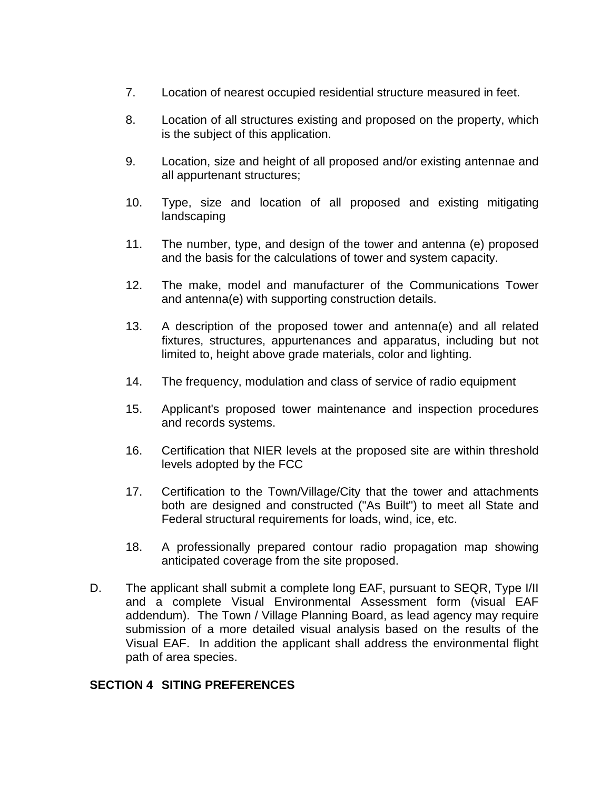- 7. Location of nearest occupied residential structure measured in feet.
- 8. Location of all structures existing and proposed on the property, which is the subject of this application.
- 9. Location, size and height of all proposed and/or existing antennae and all appurtenant structures;
- 10. Type, size and location of all proposed and existing mitigating landscaping
- 11. The number, type, and design of the tower and antenna (e) proposed and the basis for the calculations of tower and system capacity.
- 12. The make, model and manufacturer of the Communications Tower and antenna(e) with supporting construction details.
- 13. A description of the proposed tower and antenna(e) and all related fixtures, structures, appurtenances and apparatus, including but not limited to, height above grade materials, color and lighting.
- 14. The frequency, modulation and class of service of radio equipment
- 15. Applicant's proposed tower maintenance and inspection procedures and records systems.
- 16. Certification that NIER levels at the proposed site are within threshold levels adopted by the FCC
- 17. Certification to the Town/Village/City that the tower and attachments both are designed and constructed ("As Built") to meet all State and Federal structural requirements for loads, wind, ice, etc.
- 18. A professionally prepared contour radio propagation map showing anticipated coverage from the site proposed.
- D. The applicant shall submit a complete long EAF, pursuant to SEQR, Type I/II and a complete Visual Environmental Assessment form (visual EAF addendum). The Town / Village Planning Board, as lead agency may require submission of a more detailed visual analysis based on the results of the Visual EAF. In addition the applicant shall address the environmental flight path of area species.

## **SECTION 4 SITING PREFERENCES**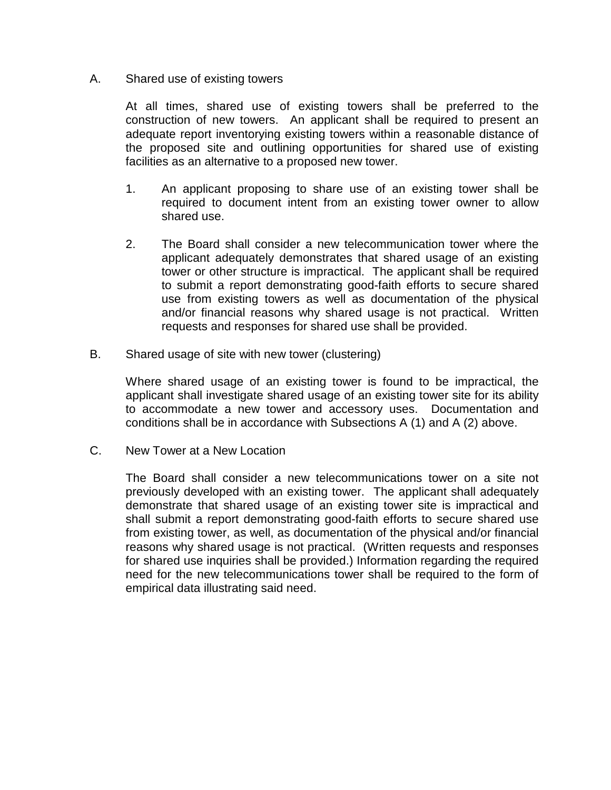#### A. Shared use of existing towers

At all times, shared use of existing towers shall be preferred to the construction of new towers. An applicant shall be required to present an adequate report inventorying existing towers within a reasonable distance of the proposed site and outlining opportunities for shared use of existing facilities as an alternative to a proposed new tower.

- 1. An applicant proposing to share use of an existing tower shall be required to document intent from an existing tower owner to allow shared use.
- 2. The Board shall consider a new telecommunication tower where the applicant adequately demonstrates that shared usage of an existing tower or other structure is impractical. The applicant shall be required to submit a report demonstrating good-faith efforts to secure shared use from existing towers as well as documentation of the physical and/or financial reasons why shared usage is not practical. Written requests and responses for shared use shall be provided.
- B. Shared usage of site with new tower (clustering)

Where shared usage of an existing tower is found to be impractical, the applicant shall investigate shared usage of an existing tower site for its ability to accommodate a new tower and accessory uses. Documentation and conditions shall be in accordance with Subsections A (1) and A (2) above.

C. New Tower at a New Location

The Board shall consider a new telecommunications tower on a site not previously developed with an existing tower. The applicant shall adequately demonstrate that shared usage of an existing tower site is impractical and shall submit a report demonstrating good-faith efforts to secure shared use from existing tower, as well, as documentation of the physical and/or financial reasons why shared usage is not practical. (Written requests and responses for shared use inquiries shall be provided.) Information regarding the required need for the new telecommunications tower shall be required to the form of empirical data illustrating said need.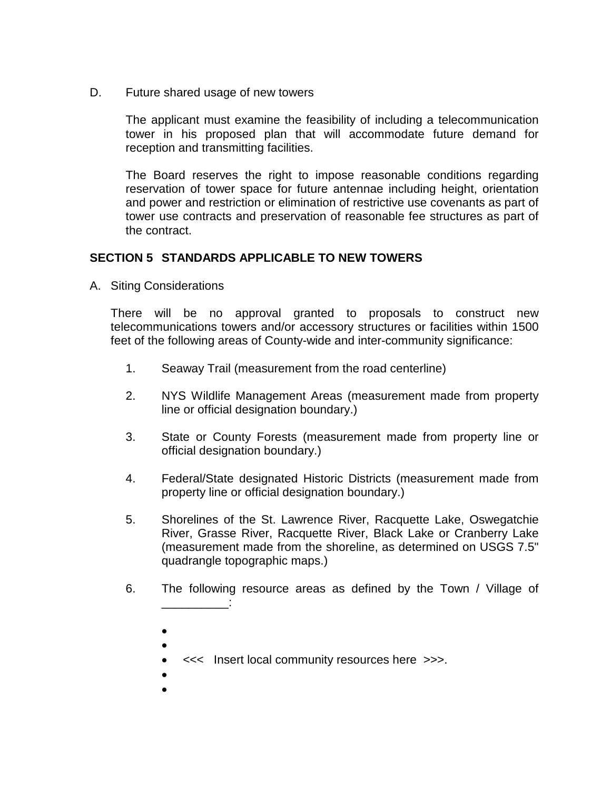D. Future shared usage of new towers

The applicant must examine the feasibility of including a telecommunication tower in his proposed plan that will accommodate future demand for reception and transmitting facilities.

The Board reserves the right to impose reasonable conditions regarding reservation of tower space for future antennae including height, orientation and power and restriction or elimination of restrictive use covenants as part of tower use contracts and preservation of reasonable fee structures as part of the contract.

# **SECTION 5 STANDARDS APPLICABLE TO NEW TOWERS**

A. Siting Considerations

There will be no approval granted to proposals to construct new telecommunications towers and/or accessory structures or facilities within 1500 feet of the following areas of County-wide and inter-community significance:

- 1. Seaway Trail (measurement from the road centerline)
- 2. NYS Wildlife Management Areas (measurement made from property line or official designation boundary.)
- 3. State or County Forests (measurement made from property line or official designation boundary.)
- 4. Federal/State designated Historic Districts (measurement made from property line or official designation boundary.)
- 5. Shorelines of the St. Lawrence River, Racquette Lake, Oswegatchie River, Grasse River, Racquette River, Black Lake or Cranberry Lake (measurement made from the shoreline, as determined on USGS 7.5" quadrangle topographic maps.)
- 6. The following resource areas as defined by the Town / Village of \_\_\_\_\_\_\_\_\_\_:
	- •
	- •
	- <<< Insert local community resources here >>>.
	- •
	- •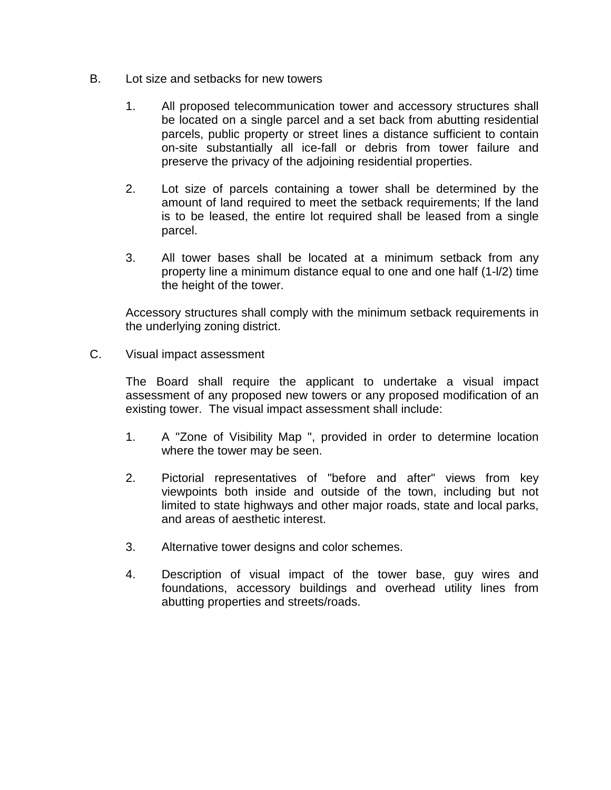- B. Lot size and setbacks for new towers
	- 1. All proposed telecommunication tower and accessory structures shall be located on a single parcel and a set back from abutting residential parcels, public property or street lines a distance sufficient to contain on-site substantially all ice-fall or debris from tower failure and preserve the privacy of the adjoining residential properties.
	- 2. Lot size of parcels containing a tower shall be determined by the amount of land required to meet the setback requirements; If the land is to be leased, the entire lot required shall be leased from a single parcel.
	- 3. All tower bases shall be located at a minimum setback from any property line a minimum distance equal to one and one half (1-l/2) time the height of the tower.

Accessory structures shall comply with the minimum setback requirements in the underlying zoning district.

C. Visual impact assessment

The Board shall require the applicant to undertake a visual impact assessment of any proposed new towers or any proposed modification of an existing tower. The visual impact assessment shall include:

- 1. A "Zone of Visibility Map ", provided in order to determine location where the tower may be seen.
- 2. Pictorial representatives of "before and after" views from key viewpoints both inside and outside of the town, including but not limited to state highways and other major roads, state and local parks, and areas of aesthetic interest.
- 3. Alternative tower designs and color schemes.
- 4. Description of visual impact of the tower base, guy wires and foundations, accessory buildings and overhead utility lines from abutting properties and streets/roads.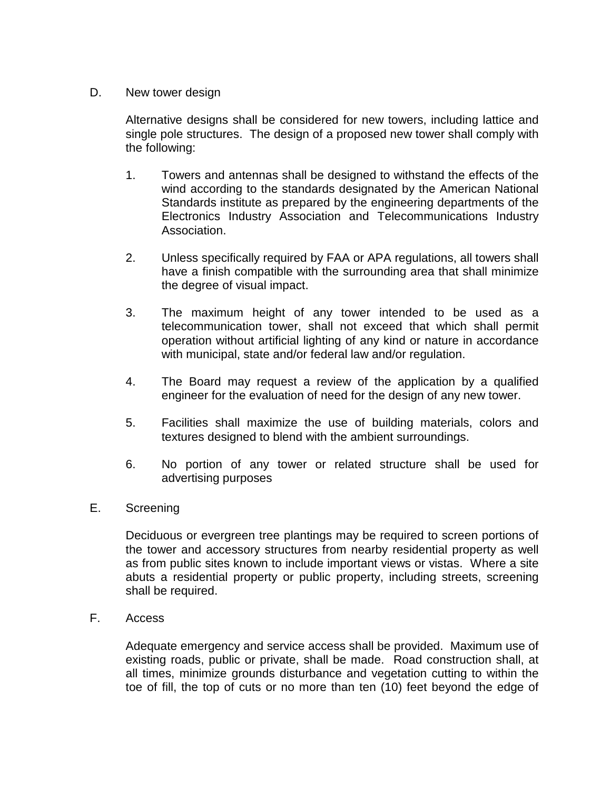## D. New tower design

Alternative designs shall be considered for new towers, including lattice and single pole structures. The design of a proposed new tower shall comply with the following:

- 1. Towers and antennas shall be designed to withstand the effects of the wind according to the standards designated by the American National Standards institute as prepared by the engineering departments of the Electronics Industry Association and Telecommunications Industry Association.
- 2. Unless specifically required by FAA or APA regulations, all towers shall have a finish compatible with the surrounding area that shall minimize the degree of visual impact.
- 3. The maximum height of any tower intended to be used as a telecommunication tower, shall not exceed that which shall permit operation without artificial lighting of any kind or nature in accordance with municipal, state and/or federal law and/or regulation.
- 4. The Board may request a review of the application by a qualified engineer for the evaluation of need for the design of any new tower.
- 5. Facilities shall maximize the use of building materials, colors and textures designed to blend with the ambient surroundings.
- 6. No portion of any tower or related structure shall be used for advertising purposes
- E. Screening

Deciduous or evergreen tree plantings may be required to screen portions of the tower and accessory structures from nearby residential property as well as from public sites known to include important views or vistas. Where a site abuts a residential property or public property, including streets, screening shall be required.

F. Access

Adequate emergency and service access shall be provided. Maximum use of existing roads, public or private, shall be made. Road construction shall, at all times, minimize grounds disturbance and vegetation cutting to within the toe of fill, the top of cuts or no more than ten (10) feet beyond the edge of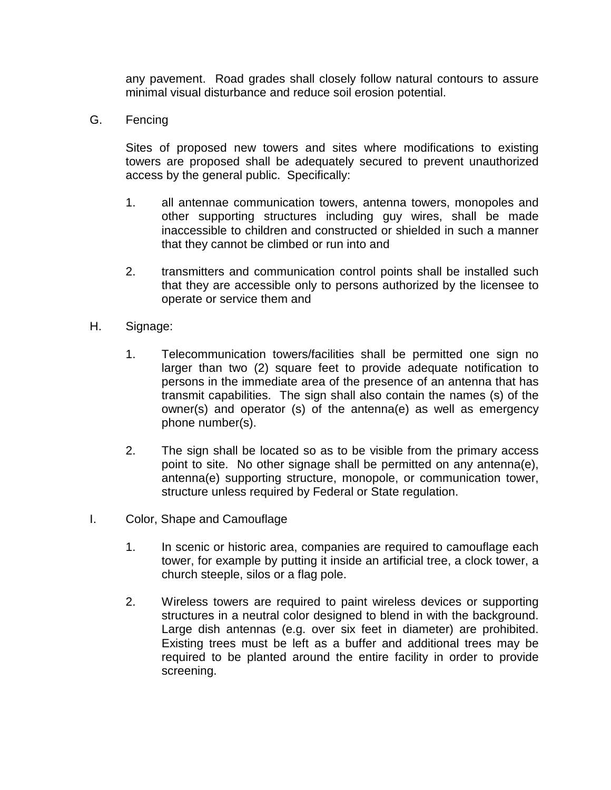any pavement. Road grades shall closely follow natural contours to assure minimal visual disturbance and reduce soil erosion potential.

G. Fencing

Sites of proposed new towers and sites where modifications to existing towers are proposed shall be adequately secured to prevent unauthorized access by the general public. Specifically:

- 1. all antennae communication towers, antenna towers, monopoles and other supporting structures including guy wires, shall be made inaccessible to children and constructed or shielded in such a manner that they cannot be climbed or run into and
- 2. transmitters and communication control points shall be installed such that they are accessible only to persons authorized by the licensee to operate or service them and
- H. Signage:
	- 1. Telecommunication towers/facilities shall be permitted one sign no larger than two (2) square feet to provide adequate notification to persons in the immediate area of the presence of an antenna that has transmit capabilities. The sign shall also contain the names (s) of the owner(s) and operator (s) of the antenna(e) as well as emergency phone number(s).
	- 2. The sign shall be located so as to be visible from the primary access point to site. No other signage shall be permitted on any antenna(e), antenna(e) supporting structure, monopole, or communication tower, structure unless required by Federal or State regulation.
- I. Color, Shape and Camouflage
	- 1. In scenic or historic area, companies are required to camouflage each tower, for example by putting it inside an artificial tree, a clock tower, a church steeple, silos or a flag pole.
	- 2. Wireless towers are required to paint wireless devices or supporting structures in a neutral color designed to blend in with the background. Large dish antennas (e.g. over six feet in diameter) are prohibited. Existing trees must be left as a buffer and additional trees may be required to be planted around the entire facility in order to provide screening.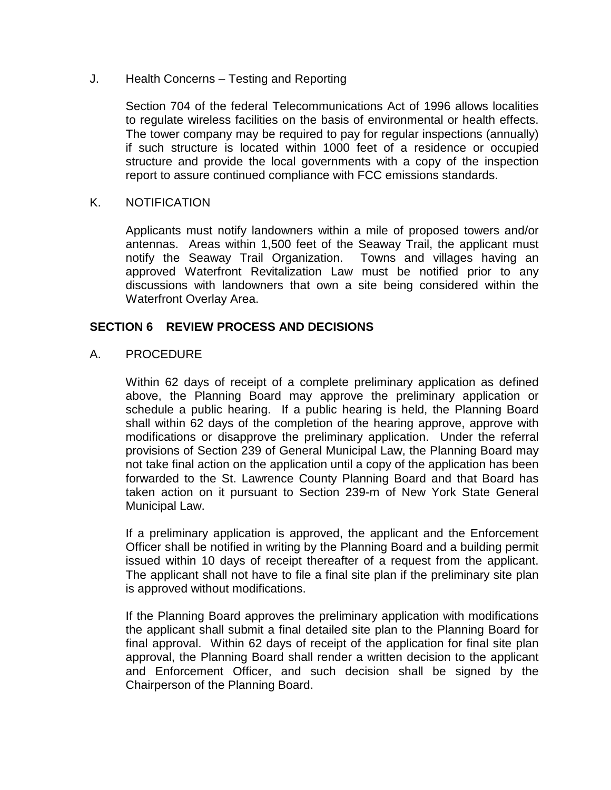#### J. Health Concerns – Testing and Reporting

Section 704 of the federal Telecommunications Act of 1996 allows localities to regulate wireless facilities on the basis of environmental or health effects. The tower company may be required to pay for regular inspections (annually) if such structure is located within 1000 feet of a residence or occupied structure and provide the local governments with a copy of the inspection report to assure continued compliance with FCC emissions standards.

#### K. NOTIFICATION

Applicants must notify landowners within a mile of proposed towers and/or antennas. Areas within 1,500 feet of the Seaway Trail, the applicant must notify the Seaway Trail Organization. Towns and villages having an approved Waterfront Revitalization Law must be notified prior to any discussions with landowners that own a site being considered within the Waterfront Overlay Area.

#### **SECTION 6 REVIEW PROCESS AND DECISIONS**

#### A. PROCEDURE

Within 62 days of receipt of a complete preliminary application as defined above, the Planning Board may approve the preliminary application or schedule a public hearing. If a public hearing is held, the Planning Board shall within 62 days of the completion of the hearing approve, approve with modifications or disapprove the preliminary application. Under the referral provisions of Section 239 of General Municipal Law, the Planning Board may not take final action on the application until a copy of the application has been forwarded to the St. Lawrence County Planning Board and that Board has taken action on it pursuant to Section 239-m of New York State General Municipal Law.

If a preliminary application is approved, the applicant and the Enforcement Officer shall be notified in writing by the Planning Board and a building permit issued within 10 days of receipt thereafter of a request from the applicant. The applicant shall not have to file a final site plan if the preliminary site plan is approved without modifications.

If the Planning Board approves the preliminary application with modifications the applicant shall submit a final detailed site plan to the Planning Board for final approval. Within 62 days of receipt of the application for final site plan approval, the Planning Board shall render a written decision to the applicant and Enforcement Officer, and such decision shall be signed by the Chairperson of the Planning Board.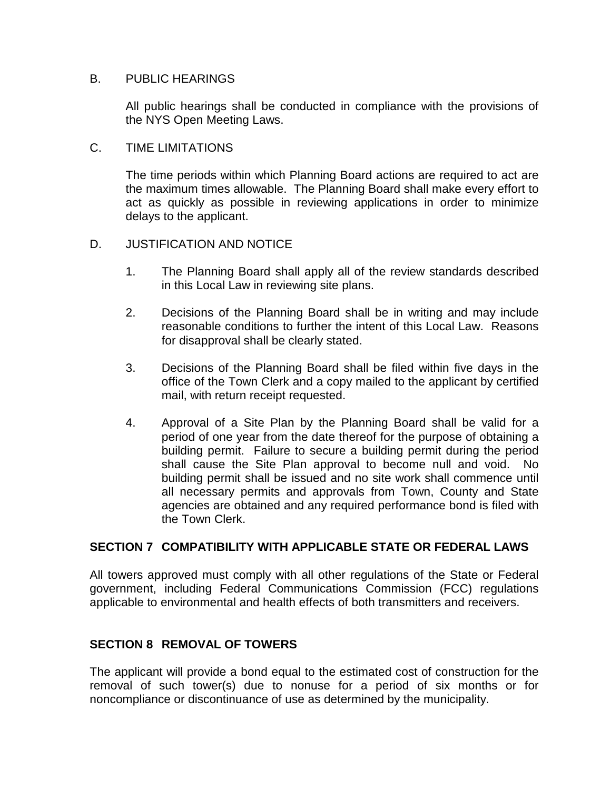## B. PUBLIC HEARINGS

All public hearings shall be conducted in compliance with the provisions of the NYS Open Meeting Laws.

#### C. TIME LIMITATIONS

The time periods within which Planning Board actions are required to act are the maximum times allowable. The Planning Board shall make every effort to act as quickly as possible in reviewing applications in order to minimize delays to the applicant.

## D. JUSTIFICATION AND NOTICE

- 1. The Planning Board shall apply all of the review standards described in this Local Law in reviewing site plans.
- 2. Decisions of the Planning Board shall be in writing and may include reasonable conditions to further the intent of this Local Law. Reasons for disapproval shall be clearly stated.
- 3. Decisions of the Planning Board shall be filed within five days in the office of the Town Clerk and a copy mailed to the applicant by certified mail, with return receipt requested.
- 4. Approval of a Site Plan by the Planning Board shall be valid for a period of one year from the date thereof for the purpose of obtaining a building permit. Failure to secure a building permit during the period shall cause the Site Plan approval to become null and void. No building permit shall be issued and no site work shall commence until all necessary permits and approvals from Town, County and State agencies are obtained and any required performance bond is filed with the Town Clerk.

## **SECTION 7 COMPATIBILITY WITH APPLICABLE STATE OR FEDERAL LAWS**

All towers approved must comply with all other regulations of the State or Federal government, including Federal Communications Commission (FCC) regulations applicable to environmental and health effects of both transmitters and receivers.

## **SECTION 8 REMOVAL OF TOWERS**

The applicant will provide a bond equal to the estimated cost of construction for the removal of such tower(s) due to nonuse for a period of six months or for noncompliance or discontinuance of use as determined by the municipality.